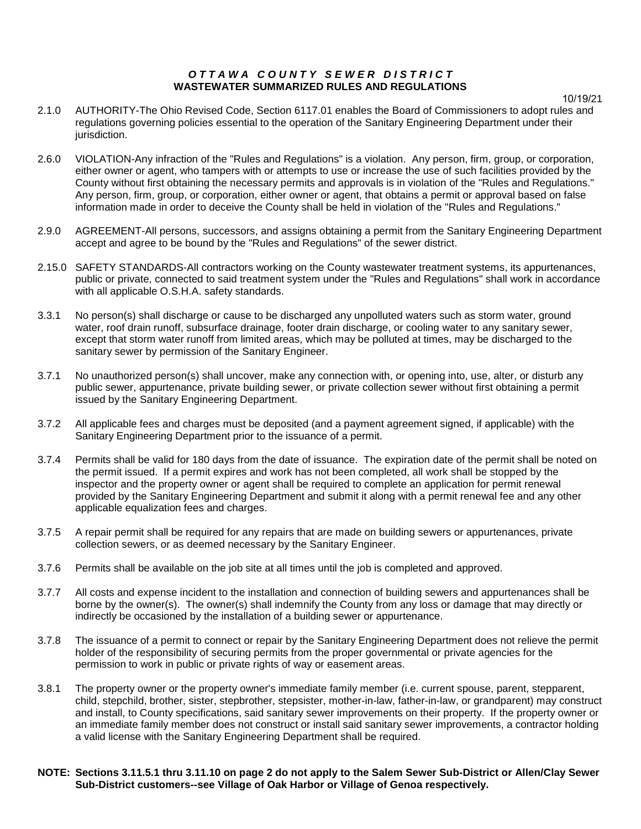### *OTTAWA COUNTY SEWER DISTRICT* **WASTEWATER SUMMARIZED RULES AND REGULATIONS**

10/19/21

- 2.1.0 AUTHORITY-The Ohio Revised Code, Section 6117.01 enables the Board of Commissioners to adopt rules and regulations governing policies essential to the operation of the Sanitary Engineering Department under their jurisdiction.
- 2.6.0 VIOLATION-Any infraction of the "Rules and Regulations" is a violation. Any person, firm, group, or corporation, either owner or agent, who tampers with or attempts to use or increase the use of such facilities provided by the County without first obtaining the necessary permits and approvals is in violation of the "Rules and Regulations." Any person, firm, group, or corporation, either owner or agent, that obtains a permit or approval based on false information made in order to deceive the County shall be held in violation of the "Rules and Regulations."
- 2.9.0 AGREEMENT-All persons, successors, and assigns obtaining a permit from the Sanitary Engineering Department accept and agree to be bound by the "Rules and Regulations" of the sewer district.
- 2.15.0 SAFETY STANDARDS-All contractors working on the County wastewater treatment systems, its appurtenances, public or private, connected to said treatment system under the "Rules and Regulations" shall work in accordance with all applicable O.S.H.A. safety standards.
- 3.3.1 No person(s) shall discharge or cause to be discharged any unpolluted waters such as storm water, ground water, roof drain runoff, subsurface drainage, footer drain discharge, or cooling water to any sanitary sewer, except that storm water runoff from limited areas, which may be polluted at times, may be discharged to the sanitary sewer by permission of the Sanitary Engineer.
- 3.7.1 No unauthorized person(s) shall uncover, make any connection with, or opening into, use, alter, or disturb any public sewer, appurtenance, private building sewer, or private collection sewer without first obtaining a permit issued by the Sanitary Engineering Department.
- 3.7.2 All applicable fees and charges must be deposited (and a payment agreement signed, if applicable) with the Sanitary Engineering Department prior to the issuance of a permit.
- 3.7.4 Permits shall be valid for 180 days from the date of issuance. The expiration date of the permit shall be noted on the permit issued. If a permit expires and work has not been completed, all work shall be stopped by the inspector and the property owner or agent shall be required to complete an application for permit renewal provided by the Sanitary Engineering Department and submit it along with a permit renewal fee and any other applicable equalization fees and charges.
- 3.7.5 A repair permit shall be required for any repairs that are made on building sewers or appurtenances, private collection sewers, or as deemed necessary by the Sanitary Engineer.
- 3.7.6 Permits shall be available on the job site at all times until the job is completed and approved.
- 3.7.7 All costs and expense incident to the installation and connection of building sewers and appurtenances shall be borne by the owner(s). The owner(s) shall indemnify the County from any loss or damage that may directly or indirectly be occasioned by the installation of a building sewer or appurtenance.
- 3.7.8 The issuance of a permit to connect or repair by the Sanitary Engineering Department does not relieve the permit holder of the responsibility of securing permits from the proper governmental or private agencies for the permission to work in public or private rights of way or easement areas.
- 3.8.1 The property owner or the property owner's immediate family member (i.e. current spouse, parent, stepparent, child, stepchild, brother, sister, stepbrother, stepsister, mother-in-law, father-in-law, or grandparent) may construct and install, to County specifications, said sanitary sewer improvements on their property. If the property owner or an immediate family member does not construct or install said sanitary sewer improvements, a contractor holding a valid license with the Sanitary Engineering Department shall be required.
- **NOTE: Sections 3.11.5.1 thru 3.11.10 on page 2 do not apply to the Salem Sewer Sub-District or Allen/Clay Sewer Sub-District customers--see Village of Oak Harbor or Village of Genoa respectively.**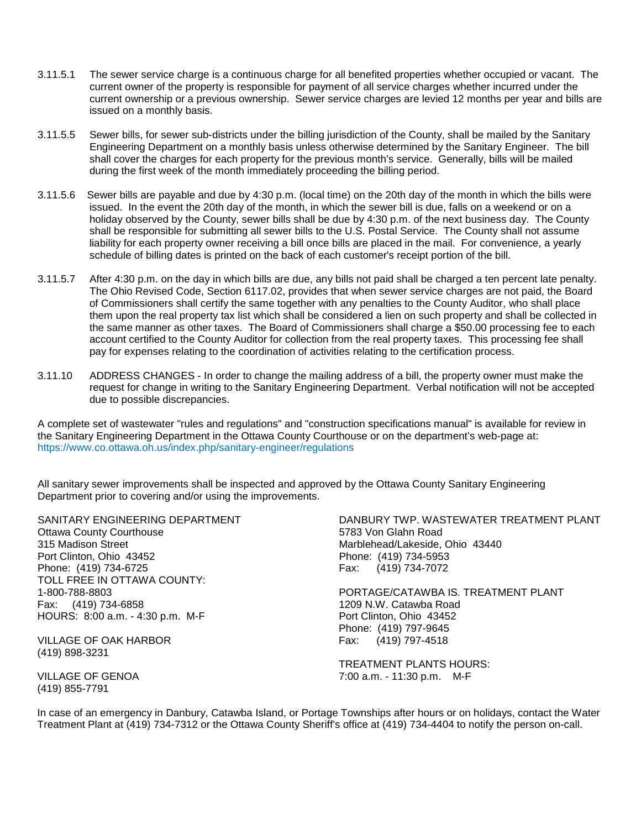- 3.11.5.1 The sewer service charge is a continuous charge for all benefited properties whether occupied or vacant. The current owner of the property is responsible for payment of all service charges whether incurred under the current ownership or a previous ownership. Sewer service charges are levied 12 months per year and bills are issued on a monthly basis.
- 3.11.5.5 Sewer bills, for sewer sub-districts under the billing jurisdiction of the County, shall be mailed by the Sanitary Engineering Department on a monthly basis unless otherwise determined by the Sanitary Engineer. The bill shall cover the charges for each property for the previous month's service. Generally, bills will be mailed during the first week of the month immediately proceeding the billing period.
- 3.11.5.6 Sewer bills are payable and due by 4:30 p.m. (local time) on the 20th day of the month in which the bills were issued. In the event the 20th day of the month, in which the sewer bill is due, falls on a weekend or on a holiday observed by the County, sewer bills shall be due by 4:30 p.m. of the next business day. The County shall be responsible for submitting all sewer bills to the U.S. Postal Service. The County shall not assume liability for each property owner receiving a bill once bills are placed in the mail. For convenience, a yearly schedule of billing dates is printed on the back of each customer's receipt portion of the bill.
- 3.11.5.7 After 4:30 p.m. on the day in which bills are due, any bills not paid shall be charged a ten percent late penalty. The Ohio Revised Code, Section 6117.02, provides that when sewer service charges are not paid, the Board of Commissioners shall certify the same together with any penalties to the County Auditor, who shall place them upon the real property tax list which shall be considered a lien on such property and shall be collected in the same manner as other taxes. The Board of Commissioners shall charge a \$50.00 processing fee to each account certified to the County Auditor for collection from the real property taxes. This processing fee shall pay for expenses relating to the coordination of activities relating to the certification process.
- 3.11.10 ADDRESS CHANGES In order to change the mailing address of a bill, the property owner must make the request for change in writing to the Sanitary Engineering Department. Verbal notification will not be accepted due to possible discrepancies.

A complete set of wastewater "rules and regulations" and "construction specifications manual" is available for review in the Sanitary Engineering Department in the Ottawa County Courthouse or on the department's web-page at: https://www.co.ottawa.oh.us/index.php/sanitary-engineer/regulations

All sanitary sewer improvements shall be inspected and approved by the Ottawa County Sanitary Engineering Department prior to covering and/or using the improvements.

**Ottawa County Courthouse** 315 Madison Street Marblehead/Lakeside, Ohio 43440 Port Clinton, Ohio 43452 Phone: (419) 734-5953 Phone: (419) 734-6725 Fax: (419) 734-7072 TOLL FREE IN OTTAWA COUNTY: HOURS: 8:00 a.m. - 4:30 p.m. M-F Port Clinton, Ohio 43452

VILLAGE OF OAK HARBOR Fax: (419) 797-4518 (419) 898-3231

(419) 855-7791

SANITARY ENGINEERING DEPARTMENT<br>Ottawa County Courthouse DANBURY TWP. WASTEWATER TREATMENT PLANT

1-800-788-8803 PORTAGE/CATAWBA IS. TREATMENT PLANT 1209 N.W. Catawba Road Phone: (419) 797-9645

TREATMENT PLANTS HOURS: VILLAGE OF GENOA 7:00 a.m. - 11:30 p.m. M-F

In case of an emergency in Danbury, Catawba Island, or Portage Townships after hours or on holidays, contact the Water Treatment Plant at (419) 734-7312 or the Ottawa County Sheriff's office at (419) 734-4404 to notify the person on-call.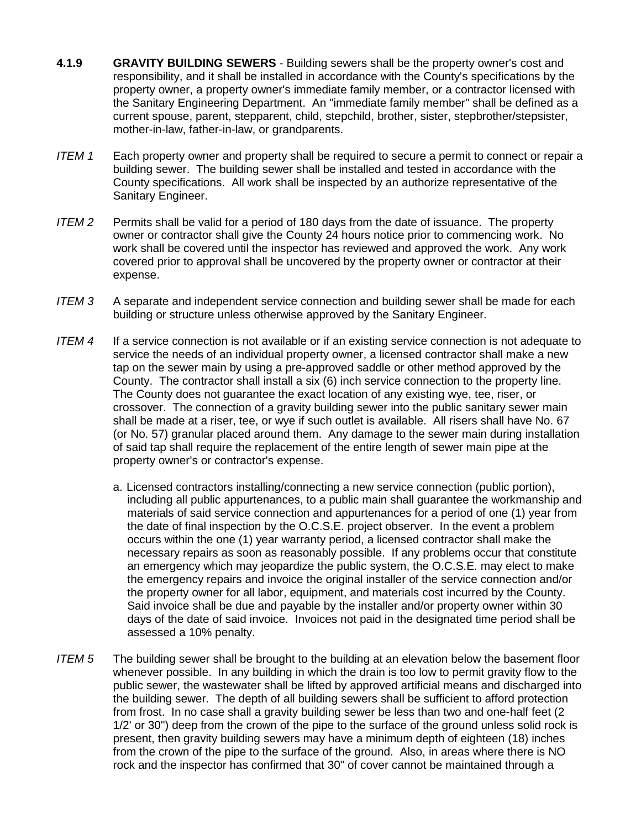- **4.1.9 GRAVITY BUILDING SEWERS** Building sewers shall be the property owner's cost and responsibility, and it shall be installed in accordance with the County's specifications by the property owner, a property owner's immediate family member, or a contractor licensed with the Sanitary Engineering Department. An "immediate family member" shall be defined as a current spouse, parent, stepparent, child, stepchild, brother, sister, stepbrother/stepsister, mother-in-law, father-in-law, or grandparents.
- *ITEM 1* Each property owner and property shall be required to secure a permit to connect or repair a building sewer. The building sewer shall be installed and tested in accordance with the County specifications. All work shall be inspected by an authorize representative of the Sanitary Engineer.
- *ITEM 2* Permits shall be valid for a period of 180 days from the date of issuance. The property owner or contractor shall give the County 24 hours notice prior to commencing work. No work shall be covered until the inspector has reviewed and approved the work. Any work covered prior to approval shall be uncovered by the property owner or contractor at their expense.
- *ITEM 3* A separate and independent service connection and building sewer shall be made for each building or structure unless otherwise approved by the Sanitary Engineer.
- *ITEM 4* If a service connection is not available or if an existing service connection is not adequate to service the needs of an individual property owner, a licensed contractor shall make a new tap on the sewer main by using a pre-approved saddle or other method approved by the County. The contractor shall install a six (6) inch service connection to the property line. The County does not guarantee the exact location of any existing wye, tee, riser, or crossover. The connection of a gravity building sewer into the public sanitary sewer main shall be made at a riser, tee, or wye if such outlet is available. All risers shall have No. 67 (or No. 57) granular placed around them. Any damage to the sewer main during installation of said tap shall require the replacement of the entire length of sewer main pipe at the property owner's or contractor's expense.
	- a. Licensed contractors installing/connecting a new service connection (public portion), including all public appurtenances, to a public main shall guarantee the workmanship and materials of said service connection and appurtenances for a period of one (1) year from the date of final inspection by the O.C.S.E. project observer. In the event a problem occurs within the one (1) year warranty period, a licensed contractor shall make the necessary repairs as soon as reasonably possible. If any problems occur that constitute an emergency which may jeopardize the public system, the O.C.S.E. may elect to make the emergency repairs and invoice the original installer of the service connection and/or the property owner for all labor, equipment, and materials cost incurred by the County. Said invoice shall be due and payable by the installer and/or property owner within 30 days of the date of said invoice. Invoices not paid in the designated time period shall be assessed a 10% penalty.
- *ITEM 5* The building sewer shall be brought to the building at an elevation below the basement floor whenever possible. In any building in which the drain is too low to permit gravity flow to the public sewer, the wastewater shall be lifted by approved artificial means and discharged into the building sewer. The depth of all building sewers shall be sufficient to afford protection from frost. In no case shall a gravity building sewer be less than two and one-half feet (2 1/2' or 30") deep from the crown of the pipe to the surface of the ground unless solid rock is present, then gravity building sewers may have a minimum depth of eighteen (18) inches from the crown of the pipe to the surface of the ground. Also, in areas where there is NO rock and the inspector has confirmed that 30" of cover cannot be maintained through a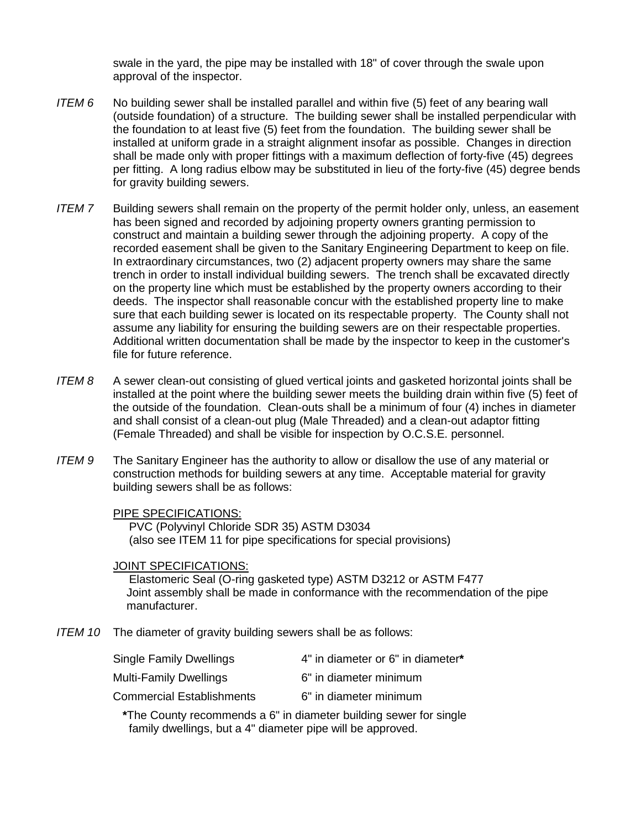swale in the yard, the pipe may be installed with 18" of cover through the swale upon approval of the inspector.

- *ITEM 6* No building sewer shall be installed parallel and within five (5) feet of any bearing wall (outside foundation) of a structure. The building sewer shall be installed perpendicular with the foundation to at least five (5) feet from the foundation. The building sewer shall be installed at uniform grade in a straight alignment insofar as possible. Changes in direction shall be made only with proper fittings with a maximum deflection of forty-five (45) degrees per fitting. A long radius elbow may be substituted in lieu of the forty-five (45) degree bends for gravity building sewers.
- *ITEM 7* Building sewers shall remain on the property of the permit holder only, unless, an easement has been signed and recorded by adjoining property owners granting permission to construct and maintain a building sewer through the adjoining property. A copy of the recorded easement shall be given to the Sanitary Engineering Department to keep on file. In extraordinary circumstances, two (2) adjacent property owners may share the same trench in order to install individual building sewers. The trench shall be excavated directly on the property line which must be established by the property owners according to their deeds. The inspector shall reasonable concur with the established property line to make sure that each building sewer is located on its respectable property. The County shall not assume any liability for ensuring the building sewers are on their respectable properties. Additional written documentation shall be made by the inspector to keep in the customer's file for future reference.
- *ITEM 8* A sewer clean-out consisting of glued vertical joints and gasketed horizontal joints shall be installed at the point where the building sewer meets the building drain within five (5) feet of the outside of the foundation. Clean-outs shall be a minimum of four (4) inches in diameter and shall consist of a clean-out plug (Male Threaded) and a clean-out adaptor fitting (Female Threaded) and shall be visible for inspection by O.C.S.E. personnel.
- *ITEM 9* The Sanitary Engineer has the authority to allow or disallow the use of any material or construction methods for building sewers at any time. Acceptable material for gravity building sewers shall be as follows:

## PIPE SPECIFICATIONS:

 PVC (Polyvinyl Chloride SDR 35) ASTM D3034 (also see ITEM 11 for pipe specifications for special provisions)

# JOINT SPECIFICATIONS:

 Elastomeric Seal (O-ring gasketed type) ASTM D3212 or ASTM F477 Joint assembly shall be made in conformance with the recommendation of the pipe manufacturer.

*ITEM 10* The diameter of gravity building sewers shall be as follows:

| Single Family Dwellings          | 4" in diameter or 6" in diameter* |
|----------------------------------|-----------------------------------|
| Multi-Family Dwellings           | 6" in diameter minimum            |
| <b>Commercial Establishments</b> | 6" in diameter minimum            |
|                                  |                                   |

 **\***The County recommends a 6" in diameter building sewer for single family dwellings, but a 4" diameter pipe will be approved.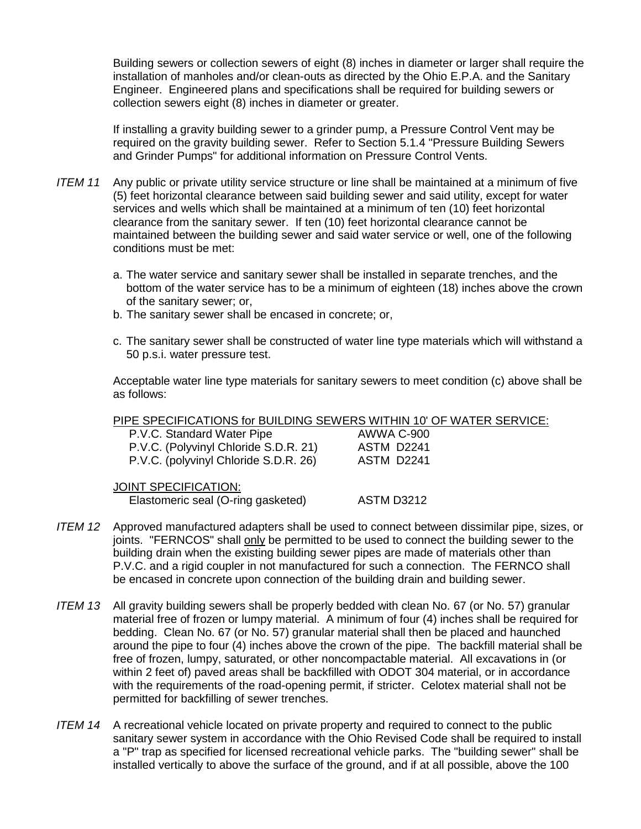Building sewers or collection sewers of eight (8) inches in diameter or larger shall require the installation of manholes and/or clean-outs as directed by the Ohio E.P.A. and the Sanitary Engineer. Engineered plans and specifications shall be required for building sewers or collection sewers eight (8) inches in diameter or greater.

If installing a gravity building sewer to a grinder pump, a Pressure Control Vent may be required on the gravity building sewer. Refer to Section 5.1.4 "Pressure Building Sewers and Grinder Pumps" for additional information on Pressure Control Vents.

- *ITEM 11* Any public or private utility service structure or line shall be maintained at a minimum of five (5) feet horizontal clearance between said building sewer and said utility, except for water services and wells which shall be maintained at a minimum of ten (10) feet horizontal clearance from the sanitary sewer. If ten (10) feet horizontal clearance cannot be maintained between the building sewer and said water service or well, one of the following conditions must be met:
	- a. The water service and sanitary sewer shall be installed in separate trenches, and the bottom of the water service has to be a minimum of eighteen (18) inches above the crown of the sanitary sewer; or,
	- b. The sanitary sewer shall be encased in concrete; or,
	- c. The sanitary sewer shall be constructed of water line type materials which will withstand a 50 p.s.i. water pressure test.

Acceptable water line type materials for sanitary sewers to meet condition (c) above shall be as follows:

PIPE SPECIFICATIONS for BUILDING SEWERS WITHIN 10' OF WATER SERVICE:

| P.V.C. Standard Water Pipe            | AWWA C-900 |
|---------------------------------------|------------|
| P.V.C. (Polyvinyl Chloride S.D.R. 21) | ASTM D2241 |
| P.V.C. (polyvinyl Chloride S.D.R. 26) | ASTM D2241 |

JOINT SPECIFICATION: Elastomeric seal (O-ring gasketed) ASTM D3212

- *ITEM 12* Approved manufactured adapters shall be used to connect between dissimilar pipe, sizes, or joints. "FERNCOS" shall only be permitted to be used to connect the building sewer to the building drain when the existing building sewer pipes are made of materials other than P.V.C. and a rigid coupler in not manufactured for such a connection. The FERNCO shall be encased in concrete upon connection of the building drain and building sewer.
- *ITEM 13* All gravity building sewers shall be properly bedded with clean No. 67 (or No. 57) granular material free of frozen or lumpy material. A minimum of four (4) inches shall be required for bedding. Clean No. 67 (or No. 57) granular material shall then be placed and haunched around the pipe to four (4) inches above the crown of the pipe. The backfill material shall be free of frozen, lumpy, saturated, or other noncompactable material. All excavations in (or within 2 feet of) paved areas shall be backfilled with ODOT 304 material, or in accordance with the requirements of the road-opening permit, if stricter. Celotex material shall not be permitted for backfilling of sewer trenches.
- *ITEM 14* A recreational vehicle located on private property and required to connect to the public sanitary sewer system in accordance with the Ohio Revised Code shall be required to install a "P" trap as specified for licensed recreational vehicle parks. The "building sewer" shall be installed vertically to above the surface of the ground, and if at all possible, above the 100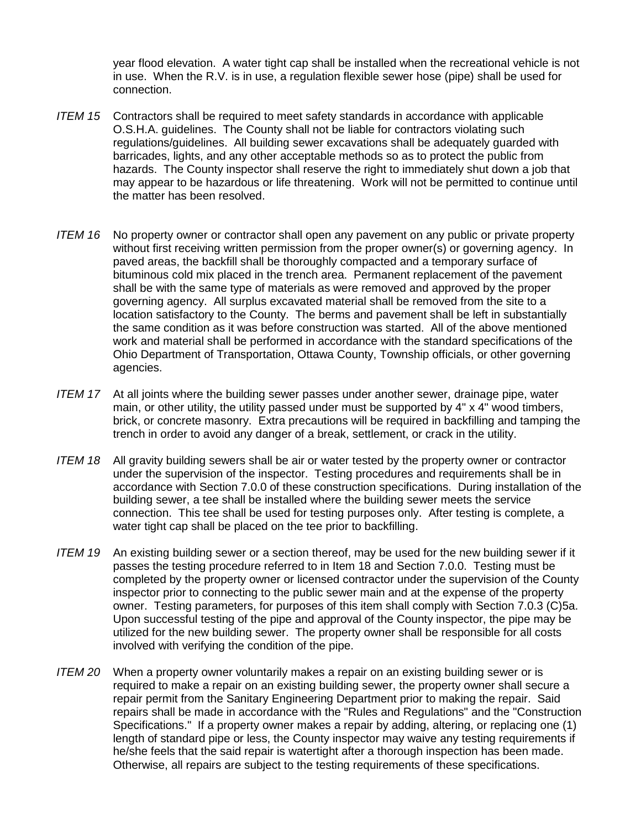year flood elevation. A water tight cap shall be installed when the recreational vehicle is not in use. When the R.V. is in use, a regulation flexible sewer hose (pipe) shall be used for connection.

- *ITEM 15* Contractors shall be required to meet safety standards in accordance with applicable O.S.H.A. guidelines. The County shall not be liable for contractors violating such regulations/guidelines. All building sewer excavations shall be adequately guarded with barricades, lights, and any other acceptable methods so as to protect the public from hazards. The County inspector shall reserve the right to immediately shut down a job that may appear to be hazardous or life threatening. Work will not be permitted to continue until the matter has been resolved.
- *ITEM 16* No property owner or contractor shall open any pavement on any public or private property without first receiving written permission from the proper owner(s) or governing agency. In paved areas, the backfill shall be thoroughly compacted and a temporary surface of bituminous cold mix placed in the trench area. Permanent replacement of the pavement shall be with the same type of materials as were removed and approved by the proper governing agency. All surplus excavated material shall be removed from the site to a location satisfactory to the County. The berms and pavement shall be left in substantially the same condition as it was before construction was started. All of the above mentioned work and material shall be performed in accordance with the standard specifications of the Ohio Department of Transportation, Ottawa County, Township officials, or other governing agencies.
- *ITEM 17* At all joints where the building sewer passes under another sewer, drainage pipe, water main, or other utility, the utility passed under must be supported by  $4" \times 4"$  wood timbers, brick, or concrete masonry. Extra precautions will be required in backfilling and tamping the trench in order to avoid any danger of a break, settlement, or crack in the utility.
- *ITEM 18* All gravity building sewers shall be air or water tested by the property owner or contractor under the supervision of the inspector. Testing procedures and requirements shall be in accordance with Section 7.0.0 of these construction specifications. During installation of the building sewer, a tee shall be installed where the building sewer meets the service connection. This tee shall be used for testing purposes only. After testing is complete, a water tight cap shall be placed on the tee prior to backfilling.
- *ITEM 19* An existing building sewer or a section thereof, may be used for the new building sewer if it passes the testing procedure referred to in Item 18 and Section 7.0.0. Testing must be completed by the property owner or licensed contractor under the supervision of the County inspector prior to connecting to the public sewer main and at the expense of the property owner. Testing parameters, for purposes of this item shall comply with Section 7.0.3 (C)5a. Upon successful testing of the pipe and approval of the County inspector, the pipe may be utilized for the new building sewer. The property owner shall be responsible for all costs involved with verifying the condition of the pipe.
- *ITEM 20* When a property owner voluntarily makes a repair on an existing building sewer or is required to make a repair on an existing building sewer, the property owner shall secure a repair permit from the Sanitary Engineering Department prior to making the repair. Said repairs shall be made in accordance with the "Rules and Regulations" and the "Construction Specifications." If a property owner makes a repair by adding, altering, or replacing one (1) length of standard pipe or less, the County inspector may waive any testing requirements if he/she feels that the said repair is watertight after a thorough inspection has been made. Otherwise, all repairs are subject to the testing requirements of these specifications.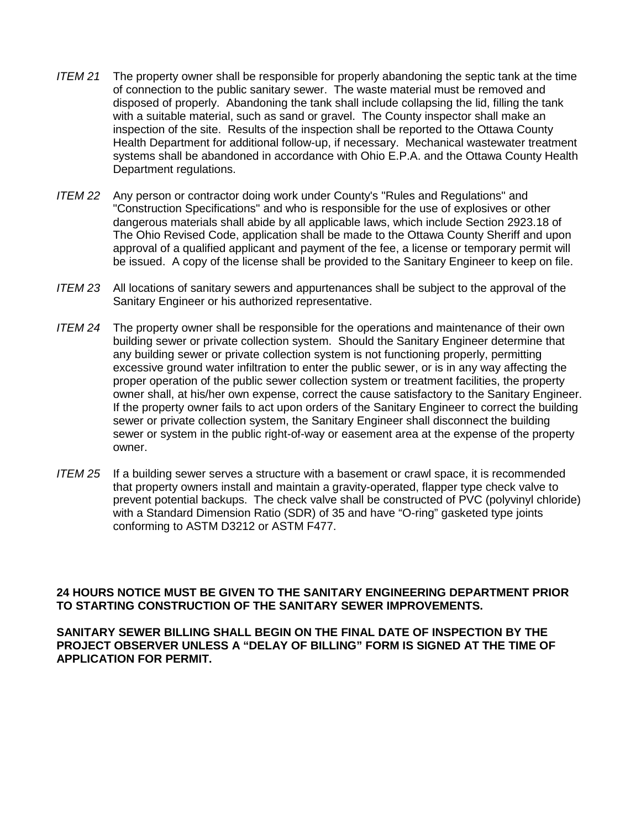- *ITEM 21* The property owner shall be responsible for properly abandoning the septic tank at the time of connection to the public sanitary sewer. The waste material must be removed and disposed of properly. Abandoning the tank shall include collapsing the lid, filling the tank with a suitable material, such as sand or gravel. The County inspector shall make an inspection of the site. Results of the inspection shall be reported to the Ottawa County Health Department for additional follow-up, if necessary. Mechanical wastewater treatment systems shall be abandoned in accordance with Ohio E.P.A. and the Ottawa County Health Department regulations.
- *ITEM 22* Any person or contractor doing work under County's "Rules and Regulations" and "Construction Specifications" and who is responsible for the use of explosives or other dangerous materials shall abide by all applicable laws, which include Section 2923.18 of The Ohio Revised Code, application shall be made to the Ottawa County Sheriff and upon approval of a qualified applicant and payment of the fee, a license or temporary permit will be issued. A copy of the license shall be provided to the Sanitary Engineer to keep on file.
- *ITEM 23* All locations of sanitary sewers and appurtenances shall be subject to the approval of the Sanitary Engineer or his authorized representative.
- *ITEM 24* The property owner shall be responsible for the operations and maintenance of their own building sewer or private collection system. Should the Sanitary Engineer determine that any building sewer or private collection system is not functioning properly, permitting excessive ground water infiltration to enter the public sewer, or is in any way affecting the proper operation of the public sewer collection system or treatment facilities, the property owner shall, at his/her own expense, correct the cause satisfactory to the Sanitary Engineer. If the property owner fails to act upon orders of the Sanitary Engineer to correct the building sewer or private collection system, the Sanitary Engineer shall disconnect the building sewer or system in the public right-of-way or easement area at the expense of the property owner.
- *ITEM 25* If a building sewer serves a structure with a basement or crawl space, it is recommended that property owners install and maintain a gravity-operated, flapper type check valve to prevent potential backups. The check valve shall be constructed of PVC (polyvinyl chloride) with a Standard Dimension Ratio (SDR) of 35 and have "O-ring" gasketed type joints conforming to ASTM D3212 or ASTM F477.

# **24 HOURS NOTICE MUST BE GIVEN TO THE SANITARY ENGINEERING DEPARTMENT PRIOR TO STARTING CONSTRUCTION OF THE SANITARY SEWER IMPROVEMENTS.**

**SANITARY SEWER BILLING SHALL BEGIN ON THE FINAL DATE OF INSPECTION BY THE PROJECT OBSERVER UNLESS A "DELAY OF BILLING" FORM IS SIGNED AT THE TIME OF APPLICATION FOR PERMIT.**